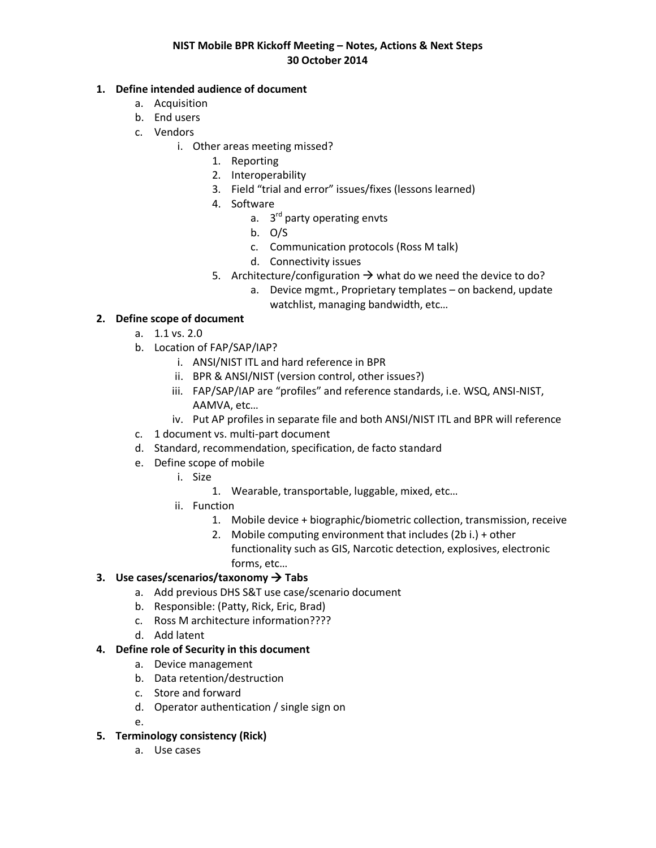### **NIST Mobile BPR Kickoff Meeting – Notes, Actions & Next Steps 30 October 2014**

### **1. Define intended audience of document**

- a. Acquisition
- b. End users
- c. Vendors
	- i. Other areas meeting missed?
		- 1. Reporting
		- 2. Interoperability
		- 3. Field "trial and error" issues/fixes (lessons learned)
		- 4. Software
			- a. 3<sup>rd</sup> party operating envts
			- b. O/S
			- c. Communication protocols (Ross M talk)
			- d. Connectivity issues
		- 5. Architecture/configuration  $\rightarrow$  what do we need the device to do?
			- a. Device mgmt., Proprietary templates on backend, update watchlist, managing bandwidth, etc…

## **2. Define scope of document**

- a. 1.1 vs. 2.0
- b. Location of FAP/SAP/IAP?
	- i. ANSI/NIST ITL and hard reference in BPR
	- ii. BPR & ANSI/NIST (version control, other issues?)
	- iii. FAP/SAP/IAP are "profiles" and reference standards, i.e. WSQ, ANSI-NIST, AAMVA, etc…
	- iv. Put AP profiles in separate file and both ANSI/NIST ITL and BPR will reference
- c. 1 document vs. multi-part document
- d. Standard, recommendation, specification, de facto standard
- e. Define scope of mobile
	- i. Size
		- 1. Wearable, transportable, luggable, mixed, etc…
	- ii. Function
		- 1. Mobile device + biographic/biometric collection, transmission, receive
		- 2. Mobile computing environment that includes (2b i.) + other functionality such as GIS, Narcotic detection, explosives, electronic forms, etc…

### **3. Use cases/scenarios/taxonomy Tabs**

- a. Add previous DHS S&T use case/scenario document
- b. Responsible: (Patty, Rick, Eric, Brad)
- c. Ross M architecture information????
- d. Add latent

### **4. Define role of Security in this document**

- a. Device management
- b. Data retention/destruction
- c. Store and forward
- d. Operator authentication / single sign on
- e.

## **5. Terminology consistency (Rick)**

a. Use cases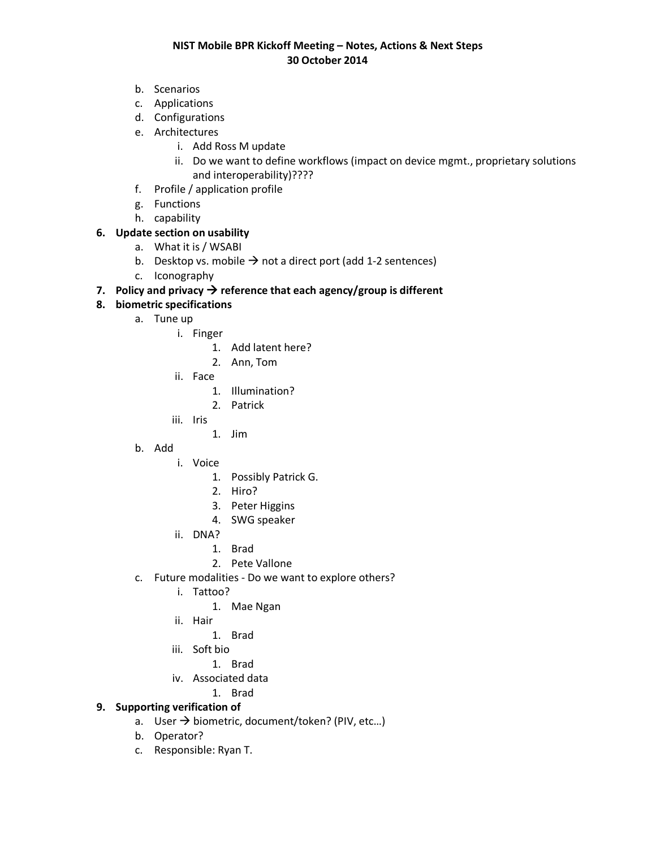### **NIST Mobile BPR Kickoff Meeting – Notes, Actions & Next Steps 30 October 2014**

- b. Scenarios
- c. Applications
- d. Configurations
- e. Architectures
	- i. Add Ross M update
	- ii. Do we want to define workflows (impact on device mgmt., proprietary solutions and interoperability)????
- f. Profile / application profile
- g. Functions
- h. capability

# **6. Update section on usability**

- a. What it is / WSABI
- b. Desktop vs. mobile  $\rightarrow$  not a direct port (add 1-2 sentences)
- c. Iconography

## **7.** Policy and privacy  $\rightarrow$  reference that each agency/group is different

## **8. biometric specifications**

- a. Tune up
	- i. Finger
		- 1. Add latent here?
		- 2. Ann, Tom
	- ii. Face
		- 1. Illumination?
		- 2. Patrick
	- iii. Iris
		- 1. Jim
- b. Add
	- i. Voice
		- 1. Possibly Patrick G.
		- 2. Hiro?
		- 3. Peter Higgins
		- 4. SWG speaker
		- ii. DNA?
			- 1. Brad
			- 2. Pete Vallone
- c. Future modalities Do we want to explore others?
	- i. Tattoo?
		- 1. Mae Ngan
	- ii. Hair
		- 1. Brad
	- iii. Soft bio
		- 1. Brad
	- iv. Associated data
		- 1. Brad

# **9. Supporting verification of**

- a. User  $\rightarrow$  biometric, document/token? (PIV, etc...)
- b. Operator?
- c. Responsible: Ryan T.